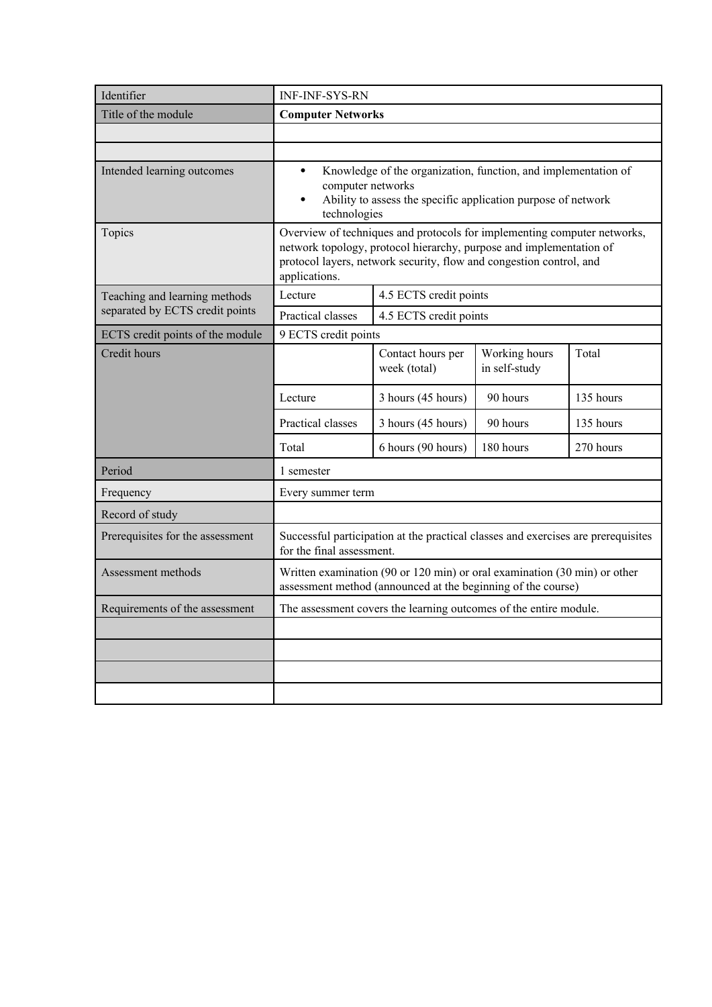| Identifier                       | <b>INF-INF-SYS-RN</b>                                                                                                                                                                                                                   |                                                                                                                                           |                                |           |
|----------------------------------|-----------------------------------------------------------------------------------------------------------------------------------------------------------------------------------------------------------------------------------------|-------------------------------------------------------------------------------------------------------------------------------------------|--------------------------------|-----------|
| Title of the module              | <b>Computer Networks</b>                                                                                                                                                                                                                |                                                                                                                                           |                                |           |
|                                  |                                                                                                                                                                                                                                         |                                                                                                                                           |                                |           |
|                                  |                                                                                                                                                                                                                                         |                                                                                                                                           |                                |           |
| Intended learning outcomes       | Knowledge of the organization, function, and implementation of<br>$\bullet$<br>computer networks<br>Ability to assess the specific application purpose of network<br>technologies                                                       |                                                                                                                                           |                                |           |
| Topics                           | Overview of techniques and protocols for implementing computer networks,<br>network topology, protocol hierarchy, purpose and implementation of<br>protocol layers, network security, flow and congestion control, and<br>applications. |                                                                                                                                           |                                |           |
| Teaching and learning methods    | Lecture                                                                                                                                                                                                                                 | 4.5 ECTS credit points                                                                                                                    |                                |           |
| separated by ECTS credit points  | Practical classes                                                                                                                                                                                                                       | 4.5 ECTS credit points                                                                                                                    |                                |           |
| ECTS credit points of the module | 9 ECTS credit points                                                                                                                                                                                                                    |                                                                                                                                           |                                |           |
| Credit hours                     |                                                                                                                                                                                                                                         | Contact hours per<br>week (total)                                                                                                         | Working hours<br>in self-study | Total     |
|                                  | Lecture                                                                                                                                                                                                                                 | 3 hours (45 hours)                                                                                                                        | 90 hours                       | 135 hours |
|                                  | Practical classes                                                                                                                                                                                                                       | 3 hours (45 hours)                                                                                                                        | 90 hours                       | 135 hours |
|                                  | Total                                                                                                                                                                                                                                   | 6 hours (90 hours)                                                                                                                        | 180 hours                      | 270 hours |
| Period                           | 1 semester                                                                                                                                                                                                                              |                                                                                                                                           |                                |           |
| Frequency                        | Every summer term                                                                                                                                                                                                                       |                                                                                                                                           |                                |           |
| Record of study                  |                                                                                                                                                                                                                                         |                                                                                                                                           |                                |           |
| Prerequisites for the assessment | for the final assessment.                                                                                                                                                                                                               | Successful participation at the practical classes and exercises are prerequisites                                                         |                                |           |
| Assessment methods               |                                                                                                                                                                                                                                         | Written examination (90 or 120 min) or oral examination (30 min) or other<br>assessment method (announced at the beginning of the course) |                                |           |
| Requirements of the assessment   |                                                                                                                                                                                                                                         | The assessment covers the learning outcomes of the entire module.                                                                         |                                |           |
|                                  |                                                                                                                                                                                                                                         |                                                                                                                                           |                                |           |
|                                  |                                                                                                                                                                                                                                         |                                                                                                                                           |                                |           |
|                                  |                                                                                                                                                                                                                                         |                                                                                                                                           |                                |           |
|                                  |                                                                                                                                                                                                                                         |                                                                                                                                           |                                |           |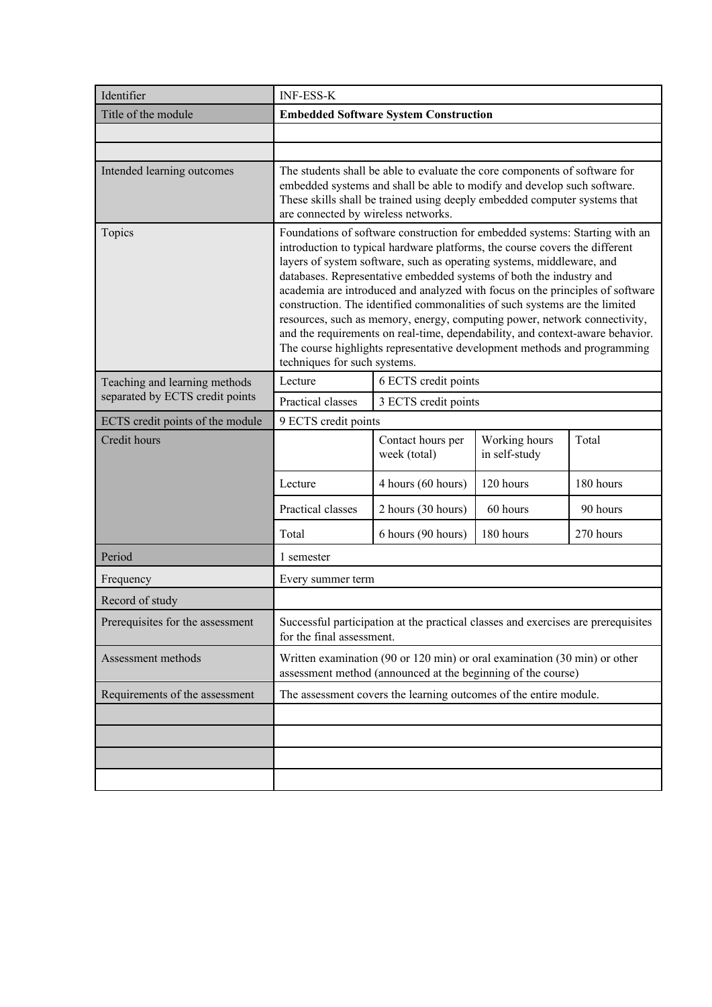| Identifier                       | <b>INF-ESS-K</b>                                                                                                                                                                                                                                                                                                                                                                                                                                                                                                                                                                                                                                                                                                                                    |                                                                                                                                           |                                |           |
|----------------------------------|-----------------------------------------------------------------------------------------------------------------------------------------------------------------------------------------------------------------------------------------------------------------------------------------------------------------------------------------------------------------------------------------------------------------------------------------------------------------------------------------------------------------------------------------------------------------------------------------------------------------------------------------------------------------------------------------------------------------------------------------------------|-------------------------------------------------------------------------------------------------------------------------------------------|--------------------------------|-----------|
| Title of the module              |                                                                                                                                                                                                                                                                                                                                                                                                                                                                                                                                                                                                                                                                                                                                                     | <b>Embedded Software System Construction</b>                                                                                              |                                |           |
|                                  |                                                                                                                                                                                                                                                                                                                                                                                                                                                                                                                                                                                                                                                                                                                                                     |                                                                                                                                           |                                |           |
|                                  |                                                                                                                                                                                                                                                                                                                                                                                                                                                                                                                                                                                                                                                                                                                                                     |                                                                                                                                           |                                |           |
| Intended learning outcomes       | The students shall be able to evaluate the core components of software for<br>embedded systems and shall be able to modify and develop such software.<br>These skills shall be trained using deeply embedded computer systems that<br>are connected by wireless networks.                                                                                                                                                                                                                                                                                                                                                                                                                                                                           |                                                                                                                                           |                                |           |
| Topics                           | Foundations of software construction for embedded systems: Starting with an<br>introduction to typical hardware platforms, the course covers the different<br>layers of system software, such as operating systems, middleware, and<br>databases. Representative embedded systems of both the industry and<br>academia are introduced and analyzed with focus on the principles of software<br>construction. The identified commonalities of such systems are the limited<br>resources, such as memory, energy, computing power, network connectivity,<br>and the requirements on real-time, dependability, and context-aware behavior.<br>The course highlights representative development methods and programming<br>techniques for such systems. |                                                                                                                                           |                                |           |
| Teaching and learning methods    | Lecture                                                                                                                                                                                                                                                                                                                                                                                                                                                                                                                                                                                                                                                                                                                                             | 6 ECTS credit points                                                                                                                      |                                |           |
| separated by ECTS credit points  | Practical classes                                                                                                                                                                                                                                                                                                                                                                                                                                                                                                                                                                                                                                                                                                                                   | 3 ECTS credit points                                                                                                                      |                                |           |
| ECTS credit points of the module | 9 ECTS credit points                                                                                                                                                                                                                                                                                                                                                                                                                                                                                                                                                                                                                                                                                                                                |                                                                                                                                           |                                |           |
| Credit hours                     |                                                                                                                                                                                                                                                                                                                                                                                                                                                                                                                                                                                                                                                                                                                                                     | Contact hours per<br>week (total)                                                                                                         | Working hours<br>in self-study | Total     |
|                                  | Lecture                                                                                                                                                                                                                                                                                                                                                                                                                                                                                                                                                                                                                                                                                                                                             | 4 hours (60 hours)                                                                                                                        | 120 hours                      | 180 hours |
|                                  | Practical classes                                                                                                                                                                                                                                                                                                                                                                                                                                                                                                                                                                                                                                                                                                                                   | 2 hours (30 hours)                                                                                                                        | 60 hours                       | 90 hours  |
|                                  | Total                                                                                                                                                                                                                                                                                                                                                                                                                                                                                                                                                                                                                                                                                                                                               | 6 hours (90 hours)                                                                                                                        | 180 hours                      | 270 hours |
| Period                           | 1 semester                                                                                                                                                                                                                                                                                                                                                                                                                                                                                                                                                                                                                                                                                                                                          |                                                                                                                                           |                                |           |
| Frequency                        | Every summer term                                                                                                                                                                                                                                                                                                                                                                                                                                                                                                                                                                                                                                                                                                                                   |                                                                                                                                           |                                |           |
| Record of study                  |                                                                                                                                                                                                                                                                                                                                                                                                                                                                                                                                                                                                                                                                                                                                                     |                                                                                                                                           |                                |           |
| Prerequisites for the assessment | for the final assessment.                                                                                                                                                                                                                                                                                                                                                                                                                                                                                                                                                                                                                                                                                                                           | Successful participation at the practical classes and exercises are prerequisites                                                         |                                |           |
| Assessment methods               |                                                                                                                                                                                                                                                                                                                                                                                                                                                                                                                                                                                                                                                                                                                                                     | Written examination (90 or 120 min) or oral examination (30 min) or other<br>assessment method (announced at the beginning of the course) |                                |           |
| Requirements of the assessment   |                                                                                                                                                                                                                                                                                                                                                                                                                                                                                                                                                                                                                                                                                                                                                     | The assessment covers the learning outcomes of the entire module.                                                                         |                                |           |
|                                  |                                                                                                                                                                                                                                                                                                                                                                                                                                                                                                                                                                                                                                                                                                                                                     |                                                                                                                                           |                                |           |
|                                  |                                                                                                                                                                                                                                                                                                                                                                                                                                                                                                                                                                                                                                                                                                                                                     |                                                                                                                                           |                                |           |
|                                  |                                                                                                                                                                                                                                                                                                                                                                                                                                                                                                                                                                                                                                                                                                                                                     |                                                                                                                                           |                                |           |
|                                  |                                                                                                                                                                                                                                                                                                                                                                                                                                                                                                                                                                                                                                                                                                                                                     |                                                                                                                                           |                                |           |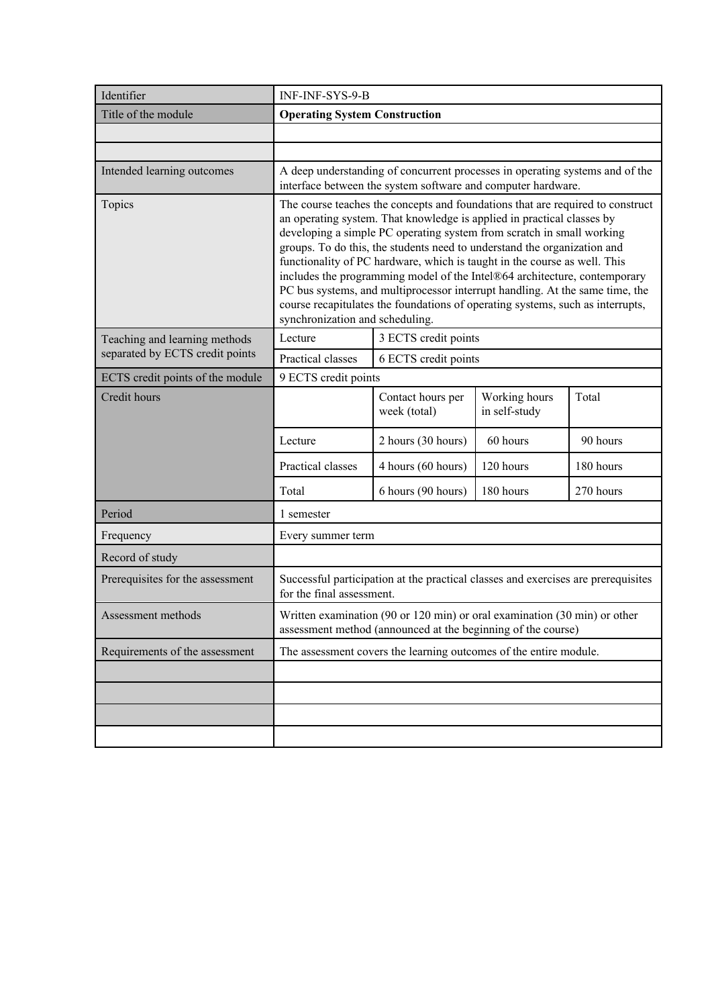| Identifier                       | INF-INF-SYS-9-B                                                                                                                                                                                                                                                                                                                                                                                                                                                                                                                                                                                                                                                              |                                                                                                                                              |                                |           |
|----------------------------------|------------------------------------------------------------------------------------------------------------------------------------------------------------------------------------------------------------------------------------------------------------------------------------------------------------------------------------------------------------------------------------------------------------------------------------------------------------------------------------------------------------------------------------------------------------------------------------------------------------------------------------------------------------------------------|----------------------------------------------------------------------------------------------------------------------------------------------|--------------------------------|-----------|
| Title of the module              | <b>Operating System Construction</b>                                                                                                                                                                                                                                                                                                                                                                                                                                                                                                                                                                                                                                         |                                                                                                                                              |                                |           |
|                                  |                                                                                                                                                                                                                                                                                                                                                                                                                                                                                                                                                                                                                                                                              |                                                                                                                                              |                                |           |
|                                  |                                                                                                                                                                                                                                                                                                                                                                                                                                                                                                                                                                                                                                                                              |                                                                                                                                              |                                |           |
| Intended learning outcomes       |                                                                                                                                                                                                                                                                                                                                                                                                                                                                                                                                                                                                                                                                              | A deep understanding of concurrent processes in operating systems and of the<br>interface between the system software and computer hardware. |                                |           |
| Topics                           | The course teaches the concepts and foundations that are required to construct<br>an operating system. That knowledge is applied in practical classes by<br>developing a simple PC operating system from scratch in small working<br>groups. To do this, the students need to understand the organization and<br>functionality of PC hardware, which is taught in the course as well. This<br>includes the programming model of the Intel®64 architecture, contemporary<br>PC bus systems, and multiprocessor interrupt handling. At the same time, the<br>course recapitulates the foundations of operating systems, such as interrupts,<br>synchronization and scheduling. |                                                                                                                                              |                                |           |
| Teaching and learning methods    | Lecture                                                                                                                                                                                                                                                                                                                                                                                                                                                                                                                                                                                                                                                                      | 3 ECTS credit points                                                                                                                         |                                |           |
| separated by ECTS credit points  | Practical classes                                                                                                                                                                                                                                                                                                                                                                                                                                                                                                                                                                                                                                                            | 6 ECTS credit points                                                                                                                         |                                |           |
| ECTS credit points of the module | 9 ECTS credit points                                                                                                                                                                                                                                                                                                                                                                                                                                                                                                                                                                                                                                                         |                                                                                                                                              |                                |           |
| Credit hours                     |                                                                                                                                                                                                                                                                                                                                                                                                                                                                                                                                                                                                                                                                              | Contact hours per<br>week (total)                                                                                                            | Working hours<br>in self-study | Total     |
|                                  | Lecture                                                                                                                                                                                                                                                                                                                                                                                                                                                                                                                                                                                                                                                                      | 2 hours (30 hours)                                                                                                                           | 60 hours                       | 90 hours  |
|                                  | Practical classes                                                                                                                                                                                                                                                                                                                                                                                                                                                                                                                                                                                                                                                            | 4 hours (60 hours)                                                                                                                           | 120 hours                      | 180 hours |
|                                  | Total                                                                                                                                                                                                                                                                                                                                                                                                                                                                                                                                                                                                                                                                        | 6 hours (90 hours)                                                                                                                           | 180 hours                      | 270 hours |
| Period                           | 1 semester                                                                                                                                                                                                                                                                                                                                                                                                                                                                                                                                                                                                                                                                   |                                                                                                                                              |                                |           |
| Frequency                        | Every summer term                                                                                                                                                                                                                                                                                                                                                                                                                                                                                                                                                                                                                                                            |                                                                                                                                              |                                |           |
| Record of study                  |                                                                                                                                                                                                                                                                                                                                                                                                                                                                                                                                                                                                                                                                              |                                                                                                                                              |                                |           |
| Prerequisites for the assessment | for the final assessment.                                                                                                                                                                                                                                                                                                                                                                                                                                                                                                                                                                                                                                                    | Successful participation at the practical classes and exercises are prerequisites                                                            |                                |           |
| Assessment methods               |                                                                                                                                                                                                                                                                                                                                                                                                                                                                                                                                                                                                                                                                              | Written examination (90 or 120 min) or oral examination (30 min) or other<br>assessment method (announced at the beginning of the course)    |                                |           |
| Requirements of the assessment   |                                                                                                                                                                                                                                                                                                                                                                                                                                                                                                                                                                                                                                                                              | The assessment covers the learning outcomes of the entire module.                                                                            |                                |           |
|                                  |                                                                                                                                                                                                                                                                                                                                                                                                                                                                                                                                                                                                                                                                              |                                                                                                                                              |                                |           |
|                                  |                                                                                                                                                                                                                                                                                                                                                                                                                                                                                                                                                                                                                                                                              |                                                                                                                                              |                                |           |
|                                  |                                                                                                                                                                                                                                                                                                                                                                                                                                                                                                                                                                                                                                                                              |                                                                                                                                              |                                |           |
|                                  |                                                                                                                                                                                                                                                                                                                                                                                                                                                                                                                                                                                                                                                                              |                                                                                                                                              |                                |           |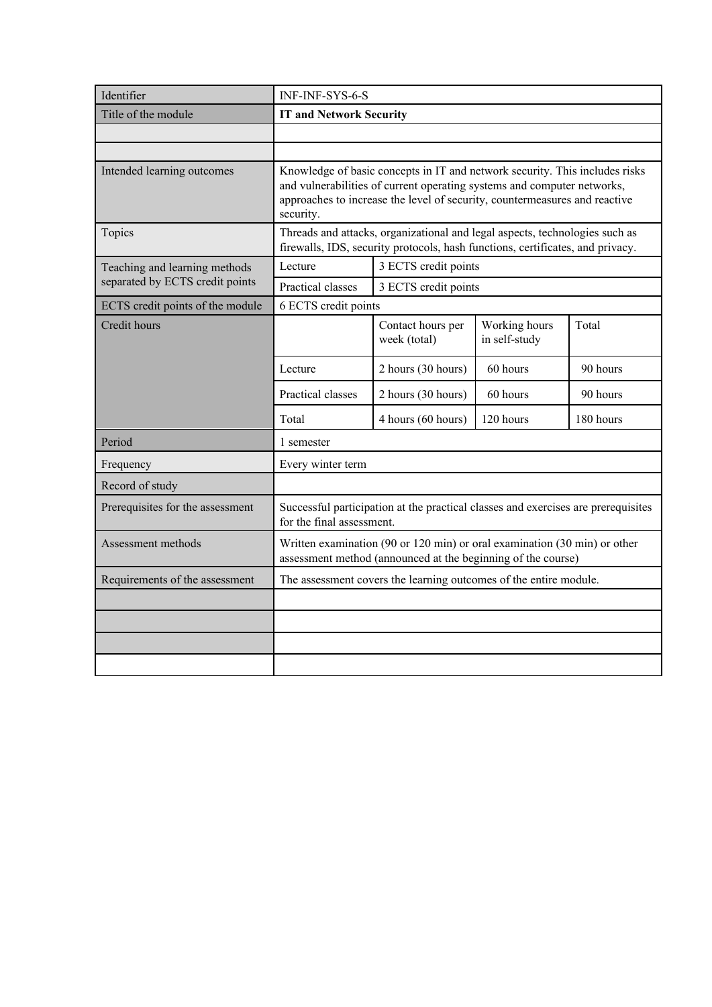| Identifier                       | <b>INF-INF-SYS-6-S</b>                                                                                                                                                                                                                            |                                                                                                                                           |                                |           |
|----------------------------------|---------------------------------------------------------------------------------------------------------------------------------------------------------------------------------------------------------------------------------------------------|-------------------------------------------------------------------------------------------------------------------------------------------|--------------------------------|-----------|
| Title of the module              | <b>IT and Network Security</b>                                                                                                                                                                                                                    |                                                                                                                                           |                                |           |
|                                  |                                                                                                                                                                                                                                                   |                                                                                                                                           |                                |           |
|                                  |                                                                                                                                                                                                                                                   |                                                                                                                                           |                                |           |
| Intended learning outcomes       | Knowledge of basic concepts in IT and network security. This includes risks<br>and vulnerabilities of current operating systems and computer networks,<br>approaches to increase the level of security, countermeasures and reactive<br>security. |                                                                                                                                           |                                |           |
| Topics                           | Threads and attacks, organizational and legal aspects, technologies such as<br>firewalls, IDS, security protocols, hash functions, certificates, and privacy.                                                                                     |                                                                                                                                           |                                |           |
| Teaching and learning methods    | Lecture<br>3 ECTS credit points                                                                                                                                                                                                                   |                                                                                                                                           |                                |           |
| separated by ECTS credit points  | Practical classes<br>3 ECTS credit points                                                                                                                                                                                                         |                                                                                                                                           |                                |           |
| ECTS credit points of the module | 6 ECTS credit points                                                                                                                                                                                                                              |                                                                                                                                           |                                |           |
| Credit hours                     |                                                                                                                                                                                                                                                   | Contact hours per<br>week (total)                                                                                                         | Working hours<br>in self-study | Total     |
|                                  | Lecture                                                                                                                                                                                                                                           | 2 hours (30 hours)                                                                                                                        | 60 hours                       | 90 hours  |
|                                  | Practical classes                                                                                                                                                                                                                                 | 2 hours (30 hours)                                                                                                                        | 60 hours                       | 90 hours  |
|                                  | Total                                                                                                                                                                                                                                             | 4 hours (60 hours)                                                                                                                        | 120 hours                      | 180 hours |
| Period                           | 1 semester                                                                                                                                                                                                                                        |                                                                                                                                           |                                |           |
| Frequency                        | Every winter term                                                                                                                                                                                                                                 |                                                                                                                                           |                                |           |
| Record of study                  |                                                                                                                                                                                                                                                   |                                                                                                                                           |                                |           |
| Prerequisites for the assessment | for the final assessment.                                                                                                                                                                                                                         | Successful participation at the practical classes and exercises are prerequisites                                                         |                                |           |
| Assessment methods               |                                                                                                                                                                                                                                                   | Written examination (90 or 120 min) or oral examination (30 min) or other<br>assessment method (announced at the beginning of the course) |                                |           |
| Requirements of the assessment   |                                                                                                                                                                                                                                                   | The assessment covers the learning outcomes of the entire module.                                                                         |                                |           |
|                                  |                                                                                                                                                                                                                                                   |                                                                                                                                           |                                |           |
|                                  |                                                                                                                                                                                                                                                   |                                                                                                                                           |                                |           |
|                                  |                                                                                                                                                                                                                                                   |                                                                                                                                           |                                |           |
|                                  |                                                                                                                                                                                                                                                   |                                                                                                                                           |                                |           |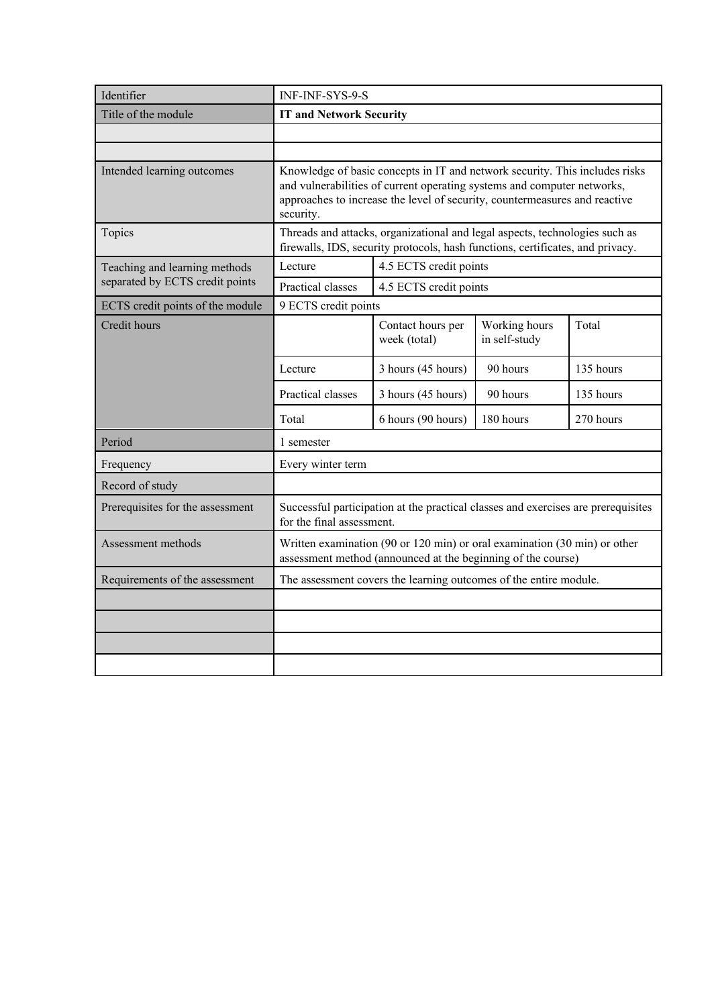| Identifier                       | <b>INF-INF-SYS-9-S</b>                                                                                                                                                                                                                            |                                                                                                                                           |                                |           |
|----------------------------------|---------------------------------------------------------------------------------------------------------------------------------------------------------------------------------------------------------------------------------------------------|-------------------------------------------------------------------------------------------------------------------------------------------|--------------------------------|-----------|
| Title of the module              | <b>IT and Network Security</b>                                                                                                                                                                                                                    |                                                                                                                                           |                                |           |
|                                  |                                                                                                                                                                                                                                                   |                                                                                                                                           |                                |           |
|                                  |                                                                                                                                                                                                                                                   |                                                                                                                                           |                                |           |
| Intended learning outcomes       | Knowledge of basic concepts in IT and network security. This includes risks<br>and vulnerabilities of current operating systems and computer networks,<br>approaches to increase the level of security, countermeasures and reactive<br>security. |                                                                                                                                           |                                |           |
| Topics                           | Threads and attacks, organizational and legal aspects, technologies such as<br>firewalls, IDS, security protocols, hash functions, certificates, and privacy.                                                                                     |                                                                                                                                           |                                |           |
| Teaching and learning methods    | Lecture<br>4.5 ECTS credit points                                                                                                                                                                                                                 |                                                                                                                                           |                                |           |
| separated by ECTS credit points  | Practical classes<br>4.5 ECTS credit points                                                                                                                                                                                                       |                                                                                                                                           |                                |           |
| ECTS credit points of the module | 9 ECTS credit points                                                                                                                                                                                                                              |                                                                                                                                           |                                |           |
| Credit hours                     |                                                                                                                                                                                                                                                   | Contact hours per<br>week (total)                                                                                                         | Working hours<br>in self-study | Total     |
|                                  | Lecture                                                                                                                                                                                                                                           | 3 hours (45 hours)                                                                                                                        | 90 hours                       | 135 hours |
|                                  | Practical classes                                                                                                                                                                                                                                 | 3 hours (45 hours)                                                                                                                        | 90 hours                       | 135 hours |
|                                  | Total                                                                                                                                                                                                                                             | 6 hours (90 hours)                                                                                                                        | 180 hours                      | 270 hours |
| Period                           | 1 semester                                                                                                                                                                                                                                        |                                                                                                                                           |                                |           |
| Frequency                        | Every winter term                                                                                                                                                                                                                                 |                                                                                                                                           |                                |           |
| Record of study                  |                                                                                                                                                                                                                                                   |                                                                                                                                           |                                |           |
| Prerequisites for the assessment | for the final assessment.                                                                                                                                                                                                                         | Successful participation at the practical classes and exercises are prerequisites                                                         |                                |           |
| Assessment methods               |                                                                                                                                                                                                                                                   | Written examination (90 or 120 min) or oral examination (30 min) or other<br>assessment method (announced at the beginning of the course) |                                |           |
| Requirements of the assessment   |                                                                                                                                                                                                                                                   | The assessment covers the learning outcomes of the entire module.                                                                         |                                |           |
|                                  |                                                                                                                                                                                                                                                   |                                                                                                                                           |                                |           |
|                                  |                                                                                                                                                                                                                                                   |                                                                                                                                           |                                |           |
|                                  |                                                                                                                                                                                                                                                   |                                                                                                                                           |                                |           |
|                                  |                                                                                                                                                                                                                                                   |                                                                                                                                           |                                |           |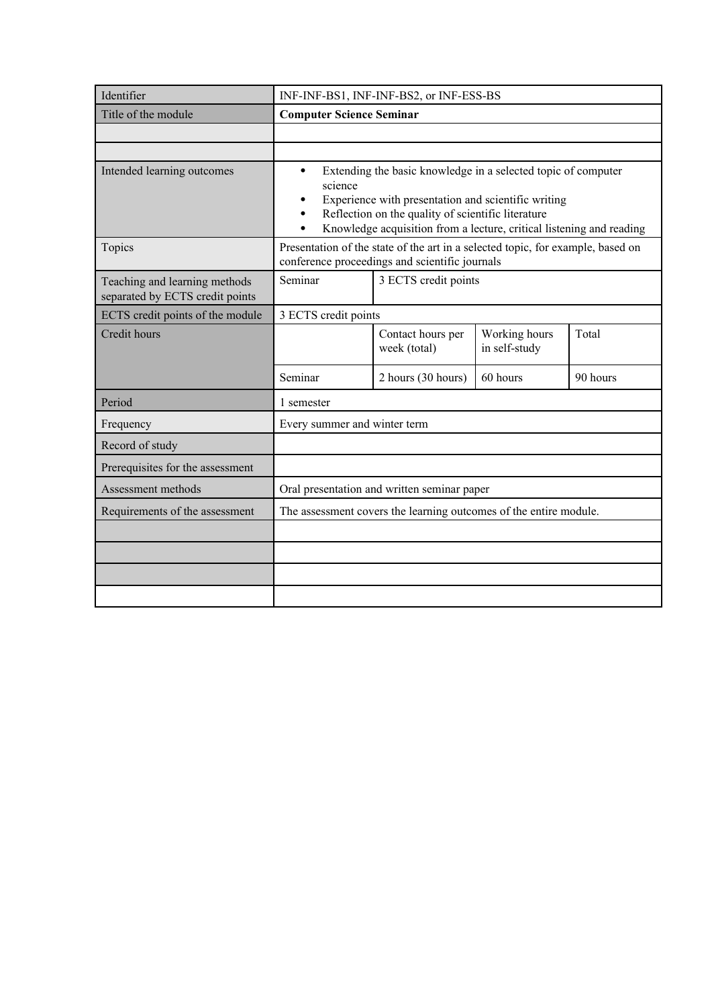| Identifier                                                       |                                                                                                                                                                                                                                                                                 | INF-INF-BS1, INF-INF-BS2, or INF-ESS-BS                           |                                |          |
|------------------------------------------------------------------|---------------------------------------------------------------------------------------------------------------------------------------------------------------------------------------------------------------------------------------------------------------------------------|-------------------------------------------------------------------|--------------------------------|----------|
| Title of the module                                              | <b>Computer Science Seminar</b>                                                                                                                                                                                                                                                 |                                                                   |                                |          |
|                                                                  |                                                                                                                                                                                                                                                                                 |                                                                   |                                |          |
|                                                                  |                                                                                                                                                                                                                                                                                 |                                                                   |                                |          |
| Intended learning outcomes                                       | Extending the basic knowledge in a selected topic of computer<br>$\bullet$<br>science<br>Experience with presentation and scientific writing<br>٠<br>Reflection on the quality of scientific literature<br>Knowledge acquisition from a lecture, critical listening and reading |                                                                   |                                |          |
| Topics                                                           | Presentation of the state of the art in a selected topic, for example, based on<br>conference proceedings and scientific journals                                                                                                                                               |                                                                   |                                |          |
| Teaching and learning methods<br>separated by ECTS credit points | 3 ECTS credit points<br>Seminar                                                                                                                                                                                                                                                 |                                                                   |                                |          |
| ECTS credit points of the module                                 | 3 ECTS credit points                                                                                                                                                                                                                                                            |                                                                   |                                |          |
| Credit hours                                                     |                                                                                                                                                                                                                                                                                 | Contact hours per<br>week (total)                                 | Working hours<br>in self-study | Total    |
|                                                                  | Seminar                                                                                                                                                                                                                                                                         | 2 hours (30 hours)                                                | 60 hours                       | 90 hours |
| Period                                                           | 1 semester                                                                                                                                                                                                                                                                      |                                                                   |                                |          |
| Frequency                                                        | Every summer and winter term                                                                                                                                                                                                                                                    |                                                                   |                                |          |
| Record of study                                                  |                                                                                                                                                                                                                                                                                 |                                                                   |                                |          |
| Prerequisites for the assessment                                 |                                                                                                                                                                                                                                                                                 |                                                                   |                                |          |
| Assessment methods                                               |                                                                                                                                                                                                                                                                                 | Oral presentation and written seminar paper                       |                                |          |
| Requirements of the assessment                                   |                                                                                                                                                                                                                                                                                 | The assessment covers the learning outcomes of the entire module. |                                |          |
|                                                                  |                                                                                                                                                                                                                                                                                 |                                                                   |                                |          |
|                                                                  |                                                                                                                                                                                                                                                                                 |                                                                   |                                |          |
|                                                                  |                                                                                                                                                                                                                                                                                 |                                                                   |                                |          |
|                                                                  |                                                                                                                                                                                                                                                                                 |                                                                   |                                |          |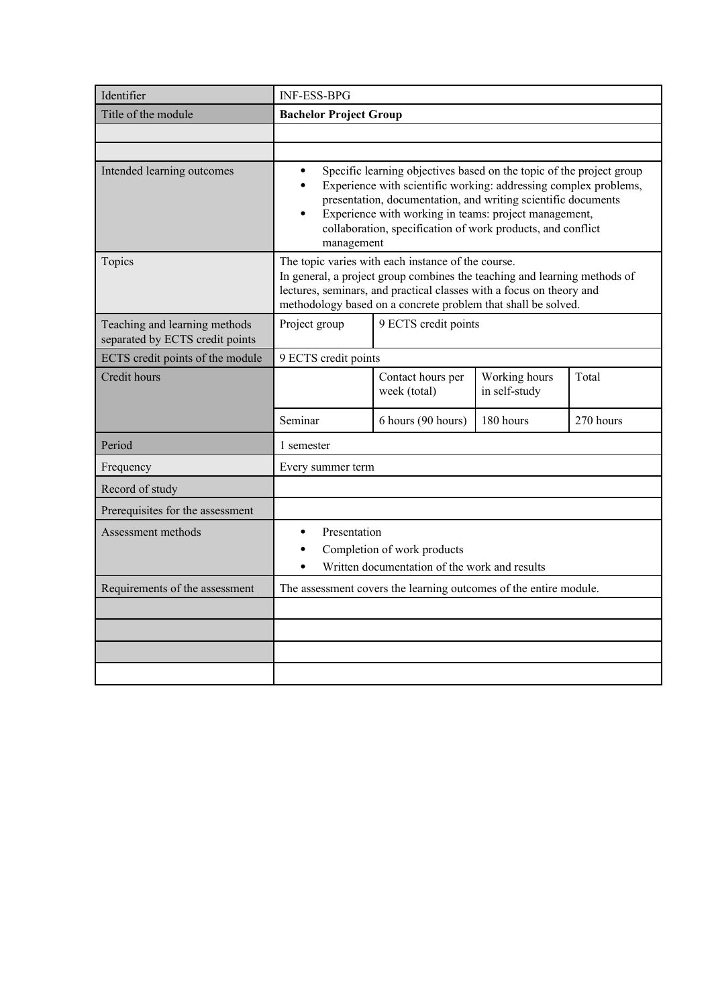| Identifier                                                       | <b>INF-ESS-BPG</b>                                                                                                                                                                                                                                                                                                                                                                     |                                                                   |                                |           |
|------------------------------------------------------------------|----------------------------------------------------------------------------------------------------------------------------------------------------------------------------------------------------------------------------------------------------------------------------------------------------------------------------------------------------------------------------------------|-------------------------------------------------------------------|--------------------------------|-----------|
| Title of the module                                              | <b>Bachelor Project Group</b>                                                                                                                                                                                                                                                                                                                                                          |                                                                   |                                |           |
|                                                                  |                                                                                                                                                                                                                                                                                                                                                                                        |                                                                   |                                |           |
|                                                                  |                                                                                                                                                                                                                                                                                                                                                                                        |                                                                   |                                |           |
| Intended learning outcomes                                       | Specific learning objectives based on the topic of the project group<br>$\bullet$<br>Experience with scientific working: addressing complex problems,<br>$\bullet$<br>presentation, documentation, and writing scientific documents<br>Experience with working in teams: project management,<br>$\bullet$<br>collaboration, specification of work products, and conflict<br>management |                                                                   |                                |           |
| Topics                                                           | The topic varies with each instance of the course.<br>In general, a project group combines the teaching and learning methods of<br>lectures, seminars, and practical classes with a focus on theory and<br>methodology based on a concrete problem that shall be solved.                                                                                                               |                                                                   |                                |           |
| Teaching and learning methods<br>separated by ECTS credit points | 9 ECTS credit points<br>Project group                                                                                                                                                                                                                                                                                                                                                  |                                                                   |                                |           |
| ECTS credit points of the module                                 | 9 ECTS credit points                                                                                                                                                                                                                                                                                                                                                                   |                                                                   |                                |           |
| Credit hours                                                     |                                                                                                                                                                                                                                                                                                                                                                                        | Contact hours per<br>week (total)                                 | Working hours<br>in self-study | Total     |
|                                                                  | Seminar                                                                                                                                                                                                                                                                                                                                                                                | 6 hours (90 hours)                                                | 180 hours                      | 270 hours |
| Period                                                           | 1 semester                                                                                                                                                                                                                                                                                                                                                                             |                                                                   |                                |           |
| Frequency                                                        | Every summer term                                                                                                                                                                                                                                                                                                                                                                      |                                                                   |                                |           |
| Record of study                                                  |                                                                                                                                                                                                                                                                                                                                                                                        |                                                                   |                                |           |
| Prerequisites for the assessment                                 |                                                                                                                                                                                                                                                                                                                                                                                        |                                                                   |                                |           |
| Assessment methods                                               | Presentation<br>$\bullet$<br>Completion of work products<br>Written documentation of the work and results                                                                                                                                                                                                                                                                              |                                                                   |                                |           |
| Requirements of the assessment                                   |                                                                                                                                                                                                                                                                                                                                                                                        | The assessment covers the learning outcomes of the entire module. |                                |           |
|                                                                  |                                                                                                                                                                                                                                                                                                                                                                                        |                                                                   |                                |           |
|                                                                  |                                                                                                                                                                                                                                                                                                                                                                                        |                                                                   |                                |           |
|                                                                  |                                                                                                                                                                                                                                                                                                                                                                                        |                                                                   |                                |           |
|                                                                  |                                                                                                                                                                                                                                                                                                                                                                                        |                                                                   |                                |           |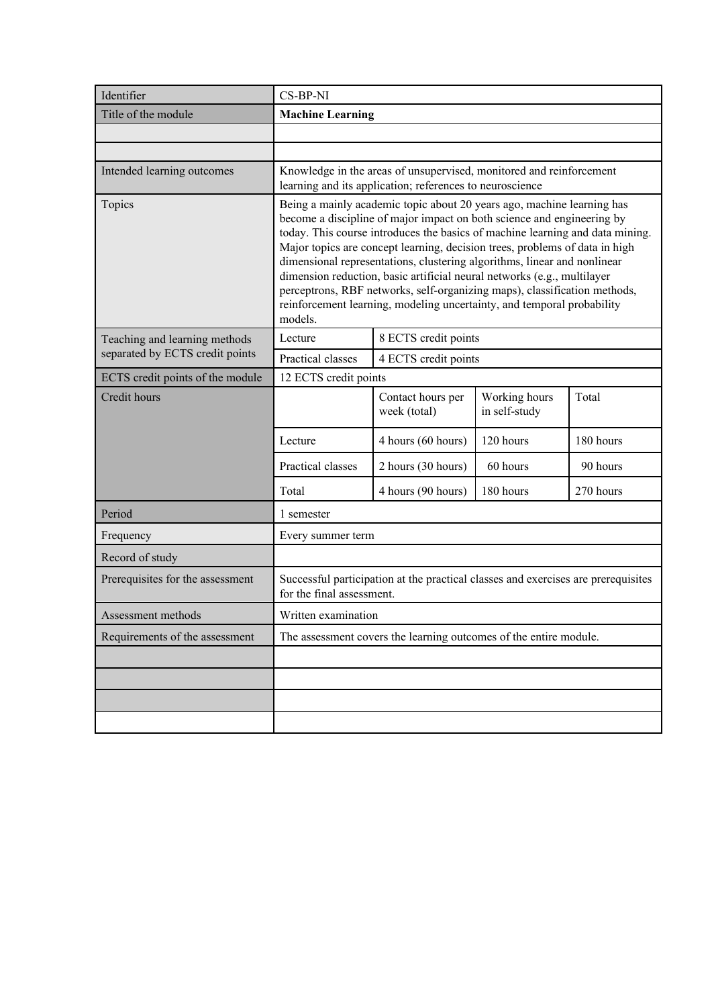| Identifier                       | CS-BP-NI                                                                                                                                                                                                                                                                                                                                                                                                                                                                                                                                                                                                                                  |                                                                                                                                 |                                |           |  |
|----------------------------------|-------------------------------------------------------------------------------------------------------------------------------------------------------------------------------------------------------------------------------------------------------------------------------------------------------------------------------------------------------------------------------------------------------------------------------------------------------------------------------------------------------------------------------------------------------------------------------------------------------------------------------------------|---------------------------------------------------------------------------------------------------------------------------------|--------------------------------|-----------|--|
| Title of the module              | <b>Machine Learning</b>                                                                                                                                                                                                                                                                                                                                                                                                                                                                                                                                                                                                                   |                                                                                                                                 |                                |           |  |
|                                  |                                                                                                                                                                                                                                                                                                                                                                                                                                                                                                                                                                                                                                           |                                                                                                                                 |                                |           |  |
|                                  |                                                                                                                                                                                                                                                                                                                                                                                                                                                                                                                                                                                                                                           |                                                                                                                                 |                                |           |  |
| Intended learning outcomes       |                                                                                                                                                                                                                                                                                                                                                                                                                                                                                                                                                                                                                                           | Knowledge in the areas of unsupervised, monitored and reinforcement<br>learning and its application; references to neuroscience |                                |           |  |
| Topics                           | Being a mainly academic topic about 20 years ago, machine learning has<br>become a discipline of major impact on both science and engineering by<br>today. This course introduces the basics of machine learning and data mining.<br>Major topics are concept learning, decision trees, problems of data in high<br>dimensional representations, clustering algorithms, linear and nonlinear<br>dimension reduction, basic artificial neural networks (e.g., multilayer<br>perceptrons, RBF networks, self-organizing maps), classification methods,<br>reinforcement learning, modeling uncertainty, and temporal probability<br>models. |                                                                                                                                 |                                |           |  |
| Teaching and learning methods    | Lecture                                                                                                                                                                                                                                                                                                                                                                                                                                                                                                                                                                                                                                   | 8 ECTS credit points                                                                                                            |                                |           |  |
| separated by ECTS credit points  | Practical classes                                                                                                                                                                                                                                                                                                                                                                                                                                                                                                                                                                                                                         | 4 ECTS credit points                                                                                                            |                                |           |  |
| ECTS credit points of the module | 12 ECTS credit points                                                                                                                                                                                                                                                                                                                                                                                                                                                                                                                                                                                                                     |                                                                                                                                 |                                |           |  |
| Credit hours                     |                                                                                                                                                                                                                                                                                                                                                                                                                                                                                                                                                                                                                                           | Contact hours per<br>week (total)                                                                                               | Working hours<br>in self-study | Total     |  |
|                                  | Lecture                                                                                                                                                                                                                                                                                                                                                                                                                                                                                                                                                                                                                                   | 4 hours (60 hours)                                                                                                              | 120 hours                      | 180 hours |  |
|                                  | Practical classes                                                                                                                                                                                                                                                                                                                                                                                                                                                                                                                                                                                                                         | 2 hours (30 hours)                                                                                                              | 60 hours                       | 90 hours  |  |
|                                  | Total                                                                                                                                                                                                                                                                                                                                                                                                                                                                                                                                                                                                                                     | 4 hours (90 hours)                                                                                                              | 180 hours                      | 270 hours |  |
| Period                           | 1 semester                                                                                                                                                                                                                                                                                                                                                                                                                                                                                                                                                                                                                                |                                                                                                                                 |                                |           |  |
| Frequency                        | Every summer term                                                                                                                                                                                                                                                                                                                                                                                                                                                                                                                                                                                                                         |                                                                                                                                 |                                |           |  |
| Record of study                  |                                                                                                                                                                                                                                                                                                                                                                                                                                                                                                                                                                                                                                           |                                                                                                                                 |                                |           |  |
| Prerequisites for the assessment | for the final assessment.                                                                                                                                                                                                                                                                                                                                                                                                                                                                                                                                                                                                                 | Successful participation at the practical classes and exercises are prerequisites                                               |                                |           |  |
| Assessment methods               | Written examination                                                                                                                                                                                                                                                                                                                                                                                                                                                                                                                                                                                                                       |                                                                                                                                 |                                |           |  |
| Requirements of the assessment   |                                                                                                                                                                                                                                                                                                                                                                                                                                                                                                                                                                                                                                           | The assessment covers the learning outcomes of the entire module.                                                               |                                |           |  |
|                                  |                                                                                                                                                                                                                                                                                                                                                                                                                                                                                                                                                                                                                                           |                                                                                                                                 |                                |           |  |
|                                  |                                                                                                                                                                                                                                                                                                                                                                                                                                                                                                                                                                                                                                           |                                                                                                                                 |                                |           |  |
|                                  |                                                                                                                                                                                                                                                                                                                                                                                                                                                                                                                                                                                                                                           |                                                                                                                                 |                                |           |  |
|                                  |                                                                                                                                                                                                                                                                                                                                                                                                                                                                                                                                                                                                                                           |                                                                                                                                 |                                |           |  |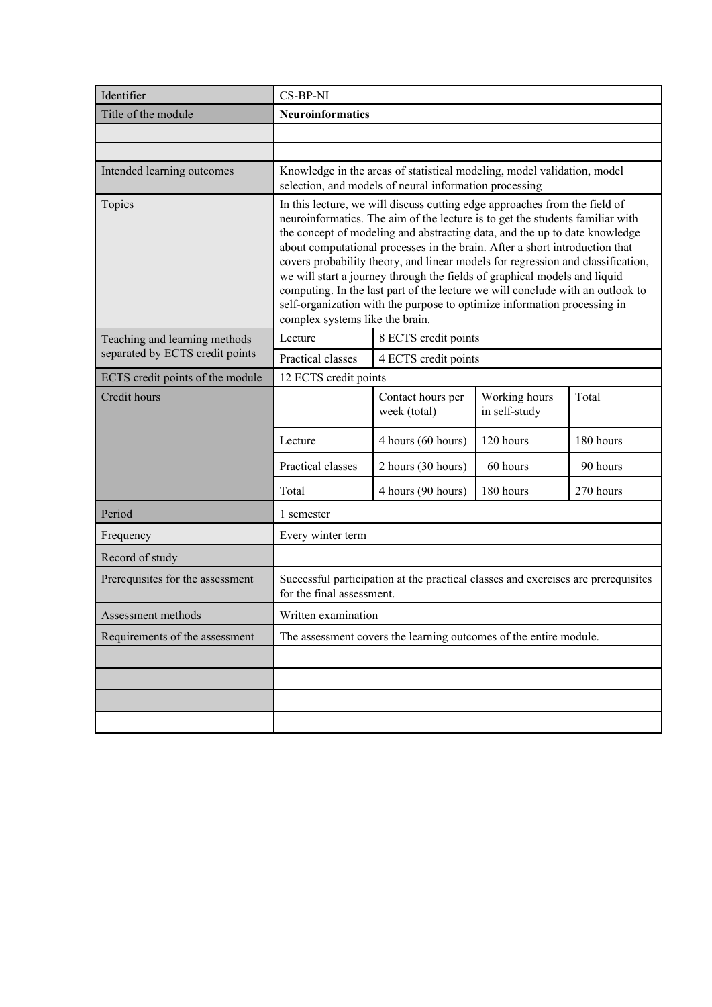| Identifier                       | CS-BP-NI                                                                                                                                                                                                                                                                                                                                                                                                                                                                                                                                                                                                                                                                                  |                                                                                                                                   |                                |           |  |
|----------------------------------|-------------------------------------------------------------------------------------------------------------------------------------------------------------------------------------------------------------------------------------------------------------------------------------------------------------------------------------------------------------------------------------------------------------------------------------------------------------------------------------------------------------------------------------------------------------------------------------------------------------------------------------------------------------------------------------------|-----------------------------------------------------------------------------------------------------------------------------------|--------------------------------|-----------|--|
| Title of the module              | <b>Neuroinformatics</b>                                                                                                                                                                                                                                                                                                                                                                                                                                                                                                                                                                                                                                                                   |                                                                                                                                   |                                |           |  |
|                                  |                                                                                                                                                                                                                                                                                                                                                                                                                                                                                                                                                                                                                                                                                           |                                                                                                                                   |                                |           |  |
|                                  |                                                                                                                                                                                                                                                                                                                                                                                                                                                                                                                                                                                                                                                                                           |                                                                                                                                   |                                |           |  |
| Intended learning outcomes       |                                                                                                                                                                                                                                                                                                                                                                                                                                                                                                                                                                                                                                                                                           | Knowledge in the areas of statistical modeling, model validation, model<br>selection, and models of neural information processing |                                |           |  |
| Topics                           | In this lecture, we will discuss cutting edge approaches from the field of<br>neuroinformatics. The aim of the lecture is to get the students familiar with<br>the concept of modeling and abstracting data, and the up to date knowledge<br>about computational processes in the brain. After a short introduction that<br>covers probability theory, and linear models for regression and classification,<br>we will start a journey through the fields of graphical models and liquid<br>computing. In the last part of the lecture we will conclude with an outlook to<br>self-organization with the purpose to optimize information processing in<br>complex systems like the brain. |                                                                                                                                   |                                |           |  |
| Teaching and learning methods    | Lecture                                                                                                                                                                                                                                                                                                                                                                                                                                                                                                                                                                                                                                                                                   | 8 ECTS credit points                                                                                                              |                                |           |  |
| separated by ECTS credit points  | Practical classes                                                                                                                                                                                                                                                                                                                                                                                                                                                                                                                                                                                                                                                                         | 4 ECTS credit points                                                                                                              |                                |           |  |
| ECTS credit points of the module |                                                                                                                                                                                                                                                                                                                                                                                                                                                                                                                                                                                                                                                                                           | 12 ECTS credit points                                                                                                             |                                |           |  |
| Credit hours                     |                                                                                                                                                                                                                                                                                                                                                                                                                                                                                                                                                                                                                                                                                           | Contact hours per<br>week (total)                                                                                                 | Working hours<br>in self-study | Total     |  |
|                                  | Lecture                                                                                                                                                                                                                                                                                                                                                                                                                                                                                                                                                                                                                                                                                   | 4 hours (60 hours)                                                                                                                | 120 hours                      | 180 hours |  |
|                                  | Practical classes                                                                                                                                                                                                                                                                                                                                                                                                                                                                                                                                                                                                                                                                         | 2 hours (30 hours)                                                                                                                | 60 hours                       | 90 hours  |  |
|                                  | Total                                                                                                                                                                                                                                                                                                                                                                                                                                                                                                                                                                                                                                                                                     | 4 hours (90 hours)                                                                                                                | 180 hours                      | 270 hours |  |
| Period                           | 1 semester                                                                                                                                                                                                                                                                                                                                                                                                                                                                                                                                                                                                                                                                                |                                                                                                                                   |                                |           |  |
| Frequency                        | Every winter term                                                                                                                                                                                                                                                                                                                                                                                                                                                                                                                                                                                                                                                                         |                                                                                                                                   |                                |           |  |
| Record of study                  |                                                                                                                                                                                                                                                                                                                                                                                                                                                                                                                                                                                                                                                                                           |                                                                                                                                   |                                |           |  |
| Prerequisites for the assessment | for the final assessment.                                                                                                                                                                                                                                                                                                                                                                                                                                                                                                                                                                                                                                                                 | Successful participation at the practical classes and exercises are prerequisites                                                 |                                |           |  |
| Assessment methods               | Written examination                                                                                                                                                                                                                                                                                                                                                                                                                                                                                                                                                                                                                                                                       |                                                                                                                                   |                                |           |  |
| Requirements of the assessment   |                                                                                                                                                                                                                                                                                                                                                                                                                                                                                                                                                                                                                                                                                           | The assessment covers the learning outcomes of the entire module.                                                                 |                                |           |  |
|                                  |                                                                                                                                                                                                                                                                                                                                                                                                                                                                                                                                                                                                                                                                                           |                                                                                                                                   |                                |           |  |
|                                  |                                                                                                                                                                                                                                                                                                                                                                                                                                                                                                                                                                                                                                                                                           |                                                                                                                                   |                                |           |  |
|                                  |                                                                                                                                                                                                                                                                                                                                                                                                                                                                                                                                                                                                                                                                                           |                                                                                                                                   |                                |           |  |
|                                  |                                                                                                                                                                                                                                                                                                                                                                                                                                                                                                                                                                                                                                                                                           |                                                                                                                                   |                                |           |  |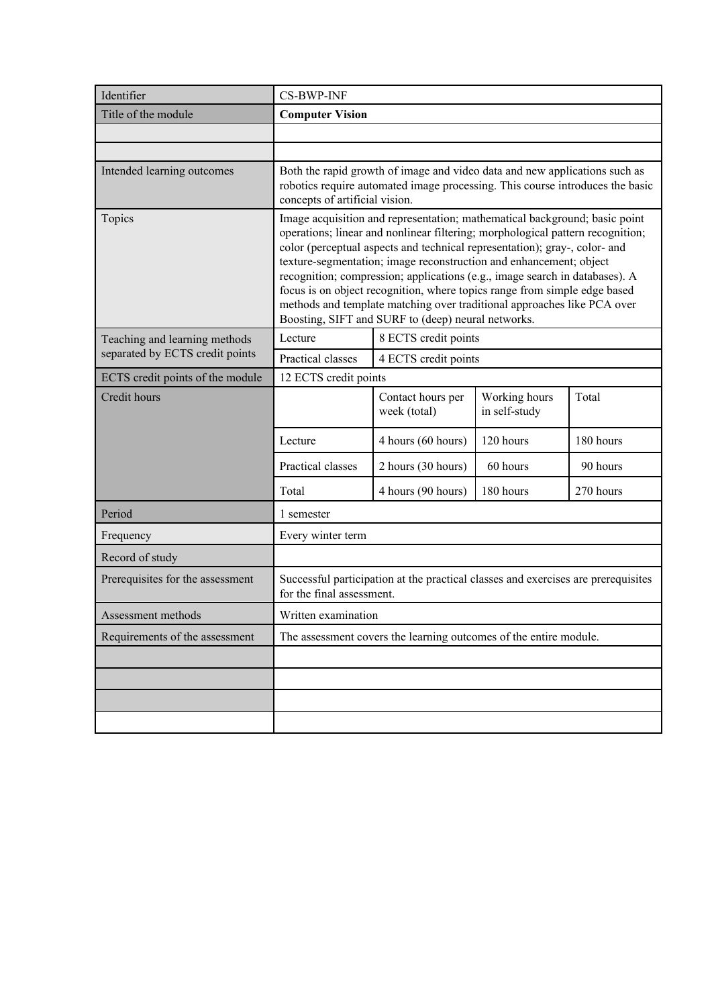| Identifier                       | <b>CS-BWP-INF</b>                                                                                                                                                                                                                                                                                                                                                                                                                                                                                                                                                                                             |                                                                                                                                                             |                                |           |  |
|----------------------------------|---------------------------------------------------------------------------------------------------------------------------------------------------------------------------------------------------------------------------------------------------------------------------------------------------------------------------------------------------------------------------------------------------------------------------------------------------------------------------------------------------------------------------------------------------------------------------------------------------------------|-------------------------------------------------------------------------------------------------------------------------------------------------------------|--------------------------------|-----------|--|
| Title of the module              | <b>Computer Vision</b>                                                                                                                                                                                                                                                                                                                                                                                                                                                                                                                                                                                        |                                                                                                                                                             |                                |           |  |
|                                  |                                                                                                                                                                                                                                                                                                                                                                                                                                                                                                                                                                                                               |                                                                                                                                                             |                                |           |  |
|                                  |                                                                                                                                                                                                                                                                                                                                                                                                                                                                                                                                                                                                               |                                                                                                                                                             |                                |           |  |
| Intended learning outcomes       | concepts of artificial vision.                                                                                                                                                                                                                                                                                                                                                                                                                                                                                                                                                                                | Both the rapid growth of image and video data and new applications such as<br>robotics require automated image processing. This course introduces the basic |                                |           |  |
| Topics                           | Image acquisition and representation; mathematical background; basic point<br>operations; linear and nonlinear filtering; morphological pattern recognition;<br>color (perceptual aspects and technical representation); gray-, color- and<br>texture-segmentation; image reconstruction and enhancement; object<br>recognition; compression; applications (e.g., image search in databases). A<br>focus is on object recognition, where topics range from simple edge based<br>methods and template matching over traditional approaches like PCA over<br>Boosting, SIFT and SURF to (deep) neural networks. |                                                                                                                                                             |                                |           |  |
| Teaching and learning methods    | Lecture                                                                                                                                                                                                                                                                                                                                                                                                                                                                                                                                                                                                       | 8 ECTS credit points                                                                                                                                        |                                |           |  |
| separated by ECTS credit points  | Practical classes                                                                                                                                                                                                                                                                                                                                                                                                                                                                                                                                                                                             | 4 ECTS credit points                                                                                                                                        |                                |           |  |
| ECTS credit points of the module |                                                                                                                                                                                                                                                                                                                                                                                                                                                                                                                                                                                                               | 12 ECTS credit points                                                                                                                                       |                                |           |  |
| Credit hours                     |                                                                                                                                                                                                                                                                                                                                                                                                                                                                                                                                                                                                               | Contact hours per<br>week (total)                                                                                                                           | Working hours<br>in self-study | Total     |  |
|                                  | Lecture                                                                                                                                                                                                                                                                                                                                                                                                                                                                                                                                                                                                       | 4 hours (60 hours)                                                                                                                                          | 120 hours                      | 180 hours |  |
|                                  | Practical classes                                                                                                                                                                                                                                                                                                                                                                                                                                                                                                                                                                                             | 2 hours (30 hours)                                                                                                                                          | 60 hours                       | 90 hours  |  |
|                                  | Total                                                                                                                                                                                                                                                                                                                                                                                                                                                                                                                                                                                                         | 4 hours (90 hours)                                                                                                                                          | 180 hours                      | 270 hours |  |
| Period                           | 1 semester                                                                                                                                                                                                                                                                                                                                                                                                                                                                                                                                                                                                    |                                                                                                                                                             |                                |           |  |
| Frequency                        | Every winter term                                                                                                                                                                                                                                                                                                                                                                                                                                                                                                                                                                                             |                                                                                                                                                             |                                |           |  |
| Record of study                  |                                                                                                                                                                                                                                                                                                                                                                                                                                                                                                                                                                                                               |                                                                                                                                                             |                                |           |  |
| Prerequisites for the assessment | for the final assessment.                                                                                                                                                                                                                                                                                                                                                                                                                                                                                                                                                                                     | Successful participation at the practical classes and exercises are prerequisites                                                                           |                                |           |  |
| Assessment methods               | Written examination                                                                                                                                                                                                                                                                                                                                                                                                                                                                                                                                                                                           |                                                                                                                                                             |                                |           |  |
| Requirements of the assessment   |                                                                                                                                                                                                                                                                                                                                                                                                                                                                                                                                                                                                               | The assessment covers the learning outcomes of the entire module.                                                                                           |                                |           |  |
|                                  |                                                                                                                                                                                                                                                                                                                                                                                                                                                                                                                                                                                                               |                                                                                                                                                             |                                |           |  |
|                                  |                                                                                                                                                                                                                                                                                                                                                                                                                                                                                                                                                                                                               |                                                                                                                                                             |                                |           |  |
|                                  |                                                                                                                                                                                                                                                                                                                                                                                                                                                                                                                                                                                                               |                                                                                                                                                             |                                |           |  |
|                                  |                                                                                                                                                                                                                                                                                                                                                                                                                                                                                                                                                                                                               |                                                                                                                                                             |                                |           |  |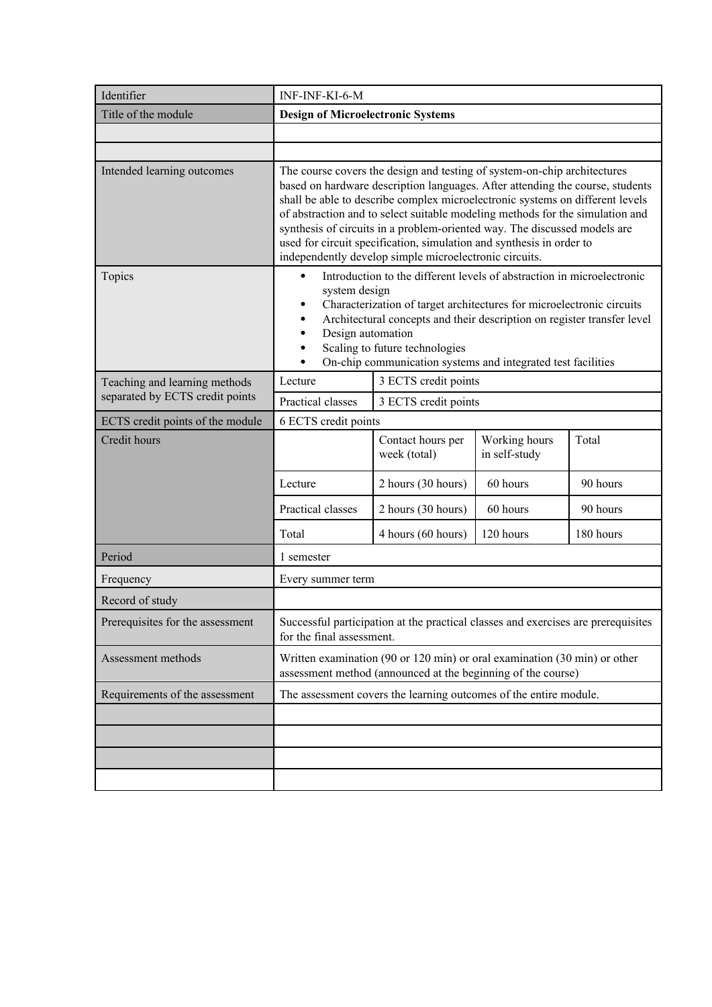| Identifier                       | INF-INF-KI-6-M                                                                                                                                                                                                                                                                                                                                                                                                                                                                                                                             |                                                                                                                                           |                                |           |
|----------------------------------|--------------------------------------------------------------------------------------------------------------------------------------------------------------------------------------------------------------------------------------------------------------------------------------------------------------------------------------------------------------------------------------------------------------------------------------------------------------------------------------------------------------------------------------------|-------------------------------------------------------------------------------------------------------------------------------------------|--------------------------------|-----------|
| Title of the module              | <b>Design of Microelectronic Systems</b>                                                                                                                                                                                                                                                                                                                                                                                                                                                                                                   |                                                                                                                                           |                                |           |
|                                  |                                                                                                                                                                                                                                                                                                                                                                                                                                                                                                                                            |                                                                                                                                           |                                |           |
|                                  |                                                                                                                                                                                                                                                                                                                                                                                                                                                                                                                                            |                                                                                                                                           |                                |           |
| Intended learning outcomes       | The course covers the design and testing of system-on-chip architectures<br>based on hardware description languages. After attending the course, students<br>shall be able to describe complex microelectronic systems on different levels<br>of abstraction and to select suitable modeling methods for the simulation and<br>synthesis of circuits in a problem-oriented way. The discussed models are<br>used for circuit specification, simulation and synthesis in order to<br>independently develop simple microelectronic circuits. |                                                                                                                                           |                                |           |
| Topics                           | Introduction to the different levels of abstraction in microelectronic<br>$\bullet$<br>system design<br>Characterization of target architectures for microelectronic circuits<br>٠<br>Architectural concepts and their description on register transfer level<br>Design automation<br>Scaling to future technologies<br>On-chip communication systems and integrated test facilities                                                                                                                                                       |                                                                                                                                           |                                |           |
| Teaching and learning methods    | Lecture                                                                                                                                                                                                                                                                                                                                                                                                                                                                                                                                    | 3 ECTS credit points                                                                                                                      |                                |           |
| separated by ECTS credit points  | Practical classes                                                                                                                                                                                                                                                                                                                                                                                                                                                                                                                          | 3 ECTS credit points                                                                                                                      |                                |           |
| ECTS credit points of the module | 6 ECTS credit points                                                                                                                                                                                                                                                                                                                                                                                                                                                                                                                       |                                                                                                                                           |                                |           |
| Credit hours                     |                                                                                                                                                                                                                                                                                                                                                                                                                                                                                                                                            | Contact hours per<br>week (total)                                                                                                         | Working hours<br>in self-study | Total     |
|                                  | Lecture                                                                                                                                                                                                                                                                                                                                                                                                                                                                                                                                    | 2 hours (30 hours)                                                                                                                        | 60 hours                       | 90 hours  |
|                                  | Practical classes                                                                                                                                                                                                                                                                                                                                                                                                                                                                                                                          | 2 hours (30 hours)                                                                                                                        | 60 hours                       | 90 hours  |
|                                  | Total                                                                                                                                                                                                                                                                                                                                                                                                                                                                                                                                      | 4 hours (60 hours)                                                                                                                        | 120 hours                      | 180 hours |
| Period                           | 1 semester                                                                                                                                                                                                                                                                                                                                                                                                                                                                                                                                 |                                                                                                                                           |                                |           |
| Frequency                        | Every summer term                                                                                                                                                                                                                                                                                                                                                                                                                                                                                                                          |                                                                                                                                           |                                |           |
| Record of study                  |                                                                                                                                                                                                                                                                                                                                                                                                                                                                                                                                            |                                                                                                                                           |                                |           |
| Prerequisites for the assessment | for the final assessment.                                                                                                                                                                                                                                                                                                                                                                                                                                                                                                                  | Successful participation at the practical classes and exercises are prerequisites                                                         |                                |           |
| Assessment methods               |                                                                                                                                                                                                                                                                                                                                                                                                                                                                                                                                            | Written examination (90 or 120 min) or oral examination (30 min) or other<br>assessment method (announced at the beginning of the course) |                                |           |
| Requirements of the assessment   |                                                                                                                                                                                                                                                                                                                                                                                                                                                                                                                                            | The assessment covers the learning outcomes of the entire module.                                                                         |                                |           |
|                                  |                                                                                                                                                                                                                                                                                                                                                                                                                                                                                                                                            |                                                                                                                                           |                                |           |
|                                  |                                                                                                                                                                                                                                                                                                                                                                                                                                                                                                                                            |                                                                                                                                           |                                |           |
|                                  |                                                                                                                                                                                                                                                                                                                                                                                                                                                                                                                                            |                                                                                                                                           |                                |           |
|                                  |                                                                                                                                                                                                                                                                                                                                                                                                                                                                                                                                            |                                                                                                                                           |                                |           |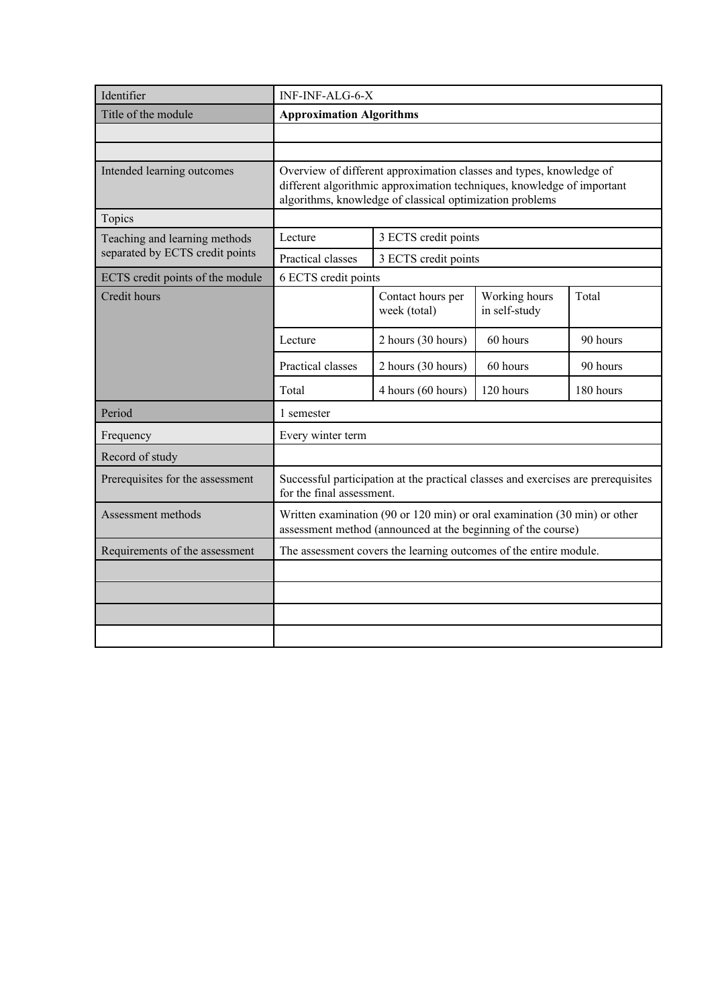| Identifier                       | INF-INF-ALG-6-X                                                                                                                                                                                           |                                                                                                                                           |                                |           |
|----------------------------------|-----------------------------------------------------------------------------------------------------------------------------------------------------------------------------------------------------------|-------------------------------------------------------------------------------------------------------------------------------------------|--------------------------------|-----------|
| Title of the module              | <b>Approximation Algorithms</b>                                                                                                                                                                           |                                                                                                                                           |                                |           |
|                                  |                                                                                                                                                                                                           |                                                                                                                                           |                                |           |
|                                  |                                                                                                                                                                                                           |                                                                                                                                           |                                |           |
| Intended learning outcomes       | Overview of different approximation classes and types, knowledge of<br>different algorithmic approximation techniques, knowledge of important<br>algorithms, knowledge of classical optimization problems |                                                                                                                                           |                                |           |
| Topics                           |                                                                                                                                                                                                           |                                                                                                                                           |                                |           |
| Teaching and learning methods    | Lecture                                                                                                                                                                                                   | 3 ECTS credit points                                                                                                                      |                                |           |
| separated by ECTS credit points  | Practical classes                                                                                                                                                                                         | 3 ECTS credit points                                                                                                                      |                                |           |
| ECTS credit points of the module | 6 ECTS credit points                                                                                                                                                                                      |                                                                                                                                           |                                |           |
| Credit hours                     |                                                                                                                                                                                                           | Contact hours per<br>week (total)                                                                                                         | Working hours<br>in self-study | Total     |
|                                  | Lecture                                                                                                                                                                                                   | 2 hours (30 hours)                                                                                                                        | 60 hours                       | 90 hours  |
|                                  | Practical classes                                                                                                                                                                                         | 2 hours (30 hours)                                                                                                                        | 60 hours                       | 90 hours  |
|                                  | Total                                                                                                                                                                                                     | 4 hours (60 hours)                                                                                                                        | 120 hours                      | 180 hours |
| Period                           | 1 semester                                                                                                                                                                                                |                                                                                                                                           |                                |           |
| Frequency                        | Every winter term                                                                                                                                                                                         |                                                                                                                                           |                                |           |
| Record of study                  |                                                                                                                                                                                                           |                                                                                                                                           |                                |           |
| Prerequisites for the assessment | for the final assessment.                                                                                                                                                                                 | Successful participation at the practical classes and exercises are prerequisites                                                         |                                |           |
| Assessment methods               |                                                                                                                                                                                                           | Written examination (90 or 120 min) or oral examination (30 min) or other<br>assessment method (announced at the beginning of the course) |                                |           |
| Requirements of the assessment   |                                                                                                                                                                                                           | The assessment covers the learning outcomes of the entire module.                                                                         |                                |           |
|                                  |                                                                                                                                                                                                           |                                                                                                                                           |                                |           |
|                                  |                                                                                                                                                                                                           |                                                                                                                                           |                                |           |
|                                  |                                                                                                                                                                                                           |                                                                                                                                           |                                |           |
|                                  |                                                                                                                                                                                                           |                                                                                                                                           |                                |           |